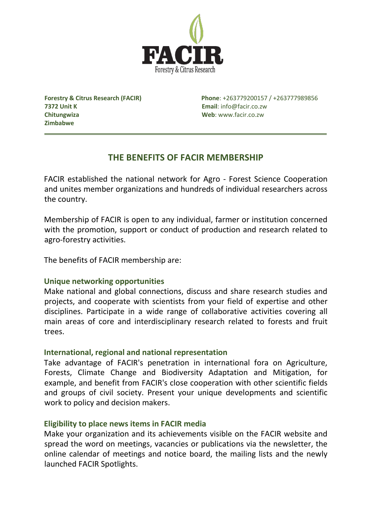

**7372 Unit K Email**: info@facir.co.zw **Chitungwiza Web**: www.facir.co.zw **Zimbabwe**

**Forestry & Citrus Research (FACIR) Phone**: +263779200157 / +263777989856

# **THE BENEFITS OF FACIR MEMBERSHIP**

FACIR established the national network for Agro - Forest Science Cooperation and unites member organizations and hundreds of individual researchers across the country.

Membership of FACIR is open to any individual, farmer or institution concerned with the promotion, support or conduct of production and research related to agro-forestry activities.

The benefits of FACIR membership are:

# **Unique networking opportunities**

Make national and global connections, discuss and share research studies and projects, and cooperate with scientists from your field of expertise and other disciplines. Participate in a wide range of collaborative activities covering all main areas of core and interdisciplinary research related to forests and fruit trees.

# **International, regional and national representation**

Take advantage of FACIR's penetration in international fora on Agriculture, Forests, Climate Change and Biodiversity Adaptation and Mitigation, for example, and benefit from FACIR's close cooperation with other scientific fields and groups of civil society. Present your unique developments and scientific work to policy and decision makers.

# **Eligibility to place news items in FACIR media**

Make your organization and its achievements visible on the FACIR website and spread the word on meetings, vacancies or publications via the newsletter, the online calendar of meetings and notice board, the mailing lists and the newly launched FACIR Spotlights.